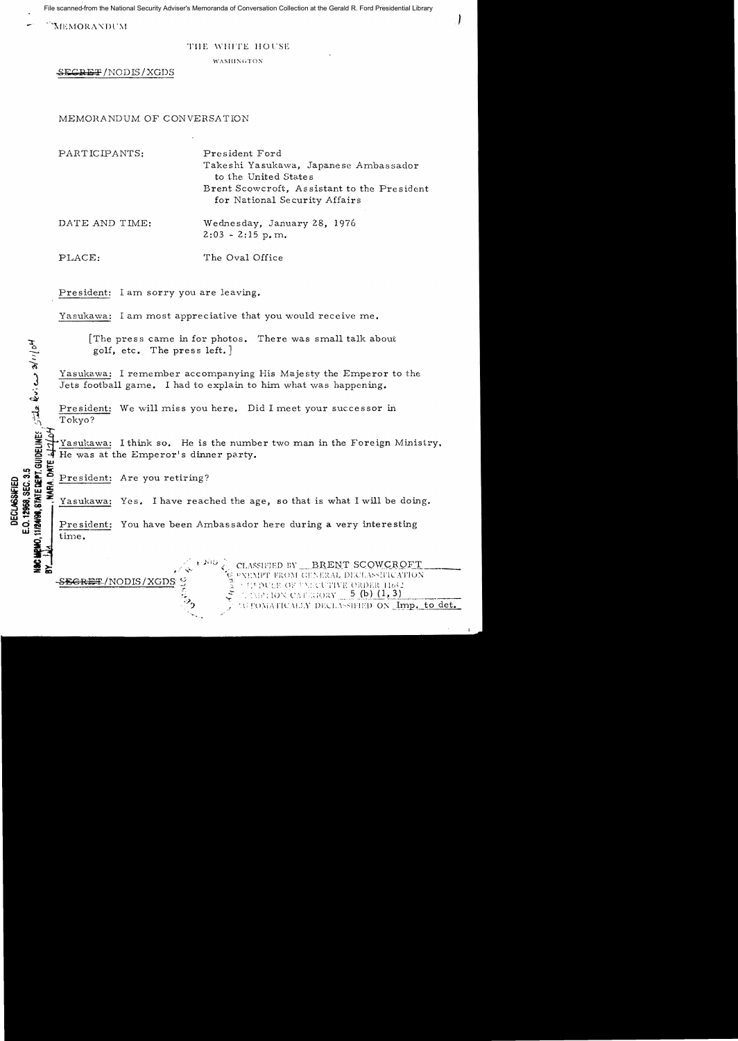File scanned from the National Security Adviser's Memoranda of Conversation Collection at the Gerald R. Ford Presidential Library

"MEMORANDUM

## THE WHITE HOUSE

WASHINGTON

SECRET/NODIS/XGDS

## MEMORANDUM OF CONVERSATION

PARTICIPANTS: President Ford Takeshi Yasukawa, Japanese Ambassador to the United States Brent Scowcroft, Assistant to the President for National Security Affairs

DATE AND TIME: Wednesday, January 28, 1976  $2:03 - 2:15$  p.m.

The Oval Office PLACE:

President: I am sorry you are leaving.

Yasukawa: I am most appreciative that you would receive me.

The press came in for photos. There was small talk about golf, etc. The press left.

Yasukawa: I remember accompanying His Majesty the Emperor to the Jets football game. I had to explain to him what was happening.

President: We will miss you here. Did I meet your successor in Tokyo?

Yasukawa: I think so. He is the number two man in the Foreign Ministry. He was at the Emperor's dinner party.

RA. DATE President: Are you retiring?

<del>SECRET</del>/NODIS/XGDS

**11/24/98, STATE DEPT.** GUIDELINES  $\frac{1}{2}$  and  $\frac{1}{2}$  and  $\frac{1}{2}$  and  $\frac{1}{2}$ 

E.O. 12968, SEC. 3.5

**DECLASSIFIED** 

Yasukawa: Yes. I have reached the age, so that is what I will be doing.

President: You have been Ambassador here during a very interesting time.

> CLASSIFIED BY BRENT SCOWCROFT **EXEMPT FROM GENERAL DECLASSIFICATION CEPPULE OF UXECUTIVE ORDER 11652 TEMPHON CAFEGORY**  $5$  (b)  $(1,3)$ COPOMATICALLY DECLASSIFIED ON Imp. to det.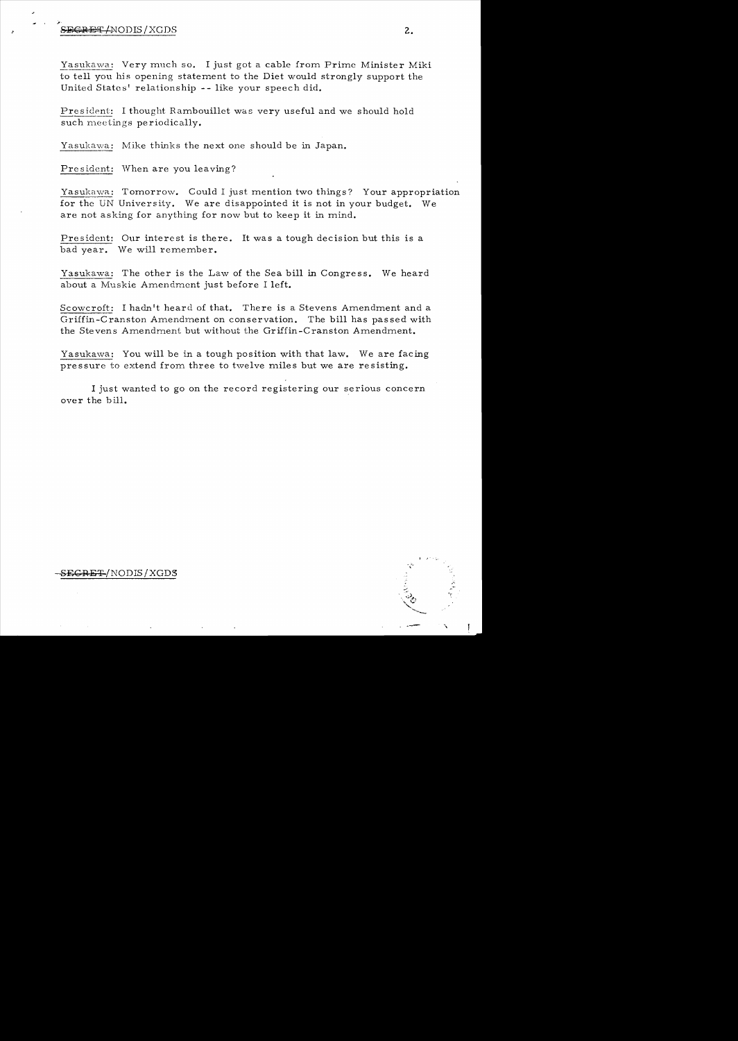## ~'  $S$ FGRET/NODIS/XGDS 2.

Yasukawa: Very much so. I just got a cable from Prime Minister Miki to tell you his opening statement to the Diet would strongly support the United States' relationship -- like your *speech* did.

President: I thought Rambouillet was very useful and we should hold such meetings periodically.

Yasukawa: Mike thinks the next one should be in Japan.

President: When are you leaving?

Yasukawa: Tomorrow. Could I just mention two things? Your appropriation for *the* UN University. We are disappointed it is not in your budget. We are not asking for anything for now but to keep it in mind.

President: Our interest is there. It was a tough decision but this is a bad year. We will remember.

Yasukawa: The other is the Law of the Sea bill in Congress. We heard about a Muskie Amendment just before I left.

Scowcroft: I hadn't heard of that. There is a Stevens Amendment and a Griffin-Cranston Amendment on conservation. The bill has passed with the Stevens Amendment but without the Griffin-Cranston Amendment.

Yasukawa: You will be in a tough position with that law. We are facing pressure to extend from three to twelve miles but we are resisting.

I just wanted to go on the record registering our serious concern over the hill.

S<del>ECRET</del>/NODIS/XGDS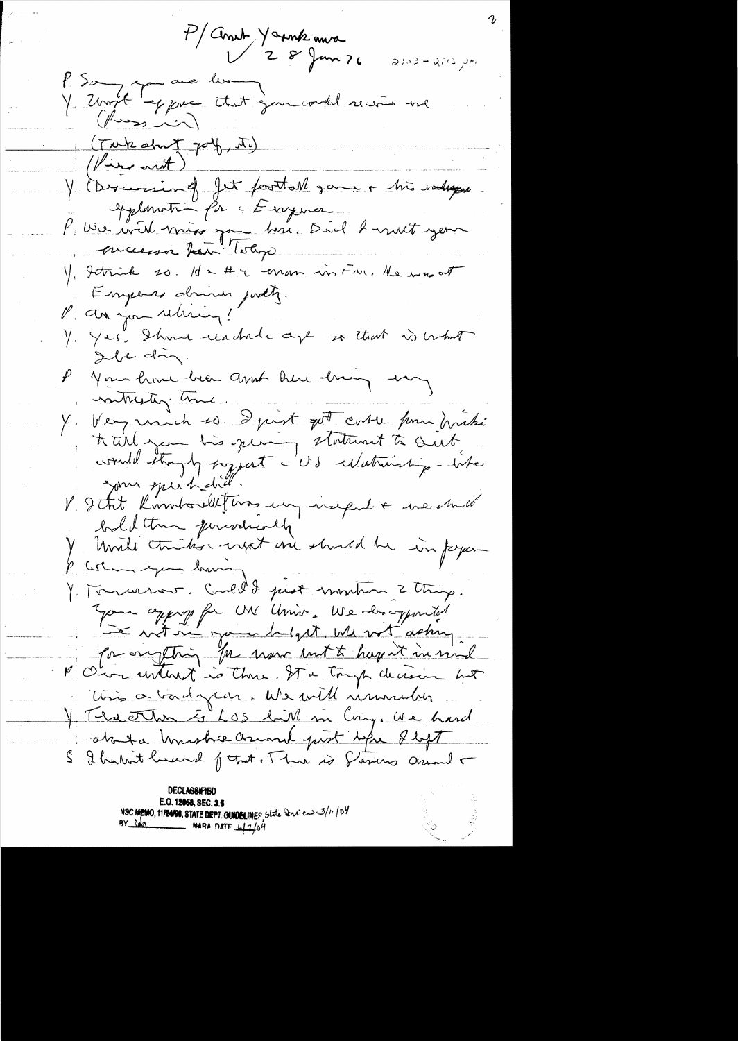P/anut Younk anna  $21-3-21/2$ P. Say you are lui ; and recent me (Tobe about port, M) Y Essension of Jet football game & his valegar applomation for a Evaymer l'une voit missique bis. Diel 2 met jeun Y, getrick so. Id a # a man in Fru, Ne was at Emperes driver justy. P da you release ? Y. Yes. Shower reachede age so that is behalf Ile din. P you have been and here him us nonthesting time. Y Very unich so I just got case pour drike your speik did V dat Komboulletins un inspult neuma baldtm junvenolly Unité chartes entret arrivation du sinforme p astern exem having Y. Tomarrow. Could I just montron 2 thing. You approp for UN Univ. We draggerted for one string for more unt to hap it in mind P Our without is three. It a tough decision but This a bad par. We will university I The other is Los lill in Cong. We hard about a Unishie Crime post spr deft S I hadrit huand format. There is Starting around -

**DECLASSIFIEL** E.O. 12058, SEC. 3.5 NSC MEMO, 11/24/98, STATE DEPT. QUIDELINES state Services 3/11/04 **NARA DATE**  $\frac{1}{2}$ 04